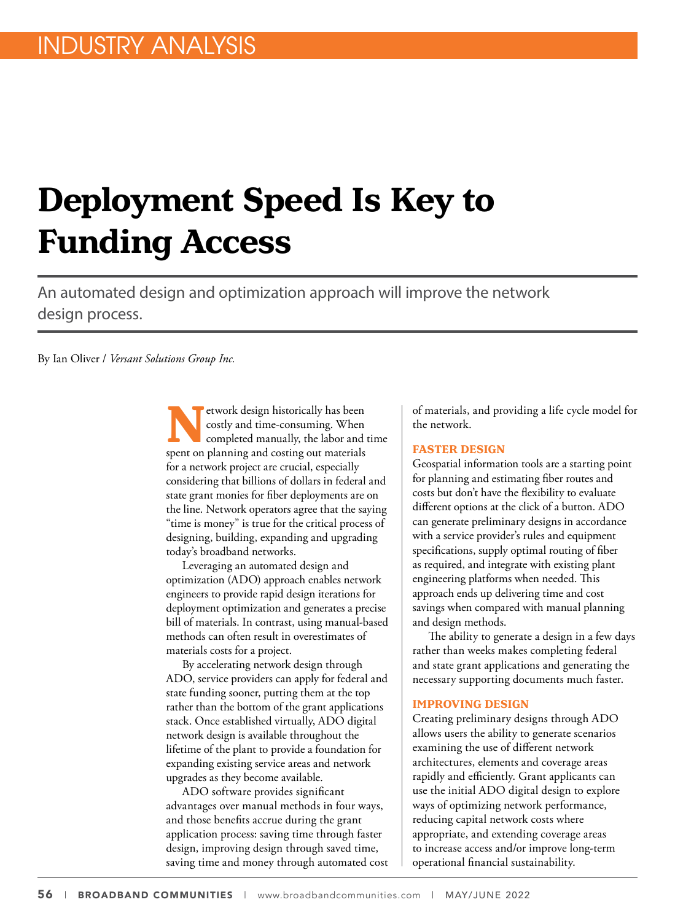# **Deployment Speed Is Key to Funding Access**

An automated design and optimization approach will improve the network design process.

By Ian Oliver / *Versant Solutions Group Inc.*

**Network design historically has been**<br>costly and time-consuming. When<br>spent on planning and costing out materials costly and time-consuming. When completed manually, the labor and time spent on planning and costing out materials for a network project are crucial, especially considering that billions of dollars in federal and state grant monies for fiber deployments are on the line. Network operators agree that the saying "time is money" is true for the critical process of designing, building, expanding and upgrading today's broadband networks.

Leveraging an automated design and optimization (ADO) approach enables network engineers to provide rapid design iterations for deployment optimization and generates a precise bill of materials. In contrast, using manual-based methods can often result in overestimates of materials costs for a project.

By accelerating network design through ADO, service providers can apply for federal and state funding sooner, putting them at the top rather than the bottom of the grant applications stack. Once established virtually, ADO digital network design is available throughout the lifetime of the plant to provide a foundation for expanding existing service areas and network upgrades as they become available.

ADO software provides significant advantages over manual methods in four ways, and those benefits accrue during the grant application process: saving time through faster design, improving design through saved time, saving time and money through automated cost of materials, and providing a life cycle model for the network.

### **FASTER DESIGN**

Geospatial information tools are a starting point for planning and estimating fiber routes and costs but don't have the flexibility to evaluate different options at the click of a button. ADO can generate preliminary designs in accordance with a service provider's rules and equipment specifications, supply optimal routing of fiber as required, and integrate with existing plant engineering platforms when needed. This approach ends up delivering time and cost savings when compared with manual planning and design methods.

The ability to generate a design in a few days rather than weeks makes completing federal and state grant applications and generating the necessary supporting documents much faster.

#### **IMPROVING DESIGN**

Creating preliminary designs through ADO allows users the ability to generate scenarios examining the use of different network architectures, elements and coverage areas rapidly and efficiently. Grant applicants can use the initial ADO digital design to explore ways of optimizing network performance, reducing capital network costs where appropriate, and extending coverage areas to increase access and/or improve long-term operational financial sustainability.